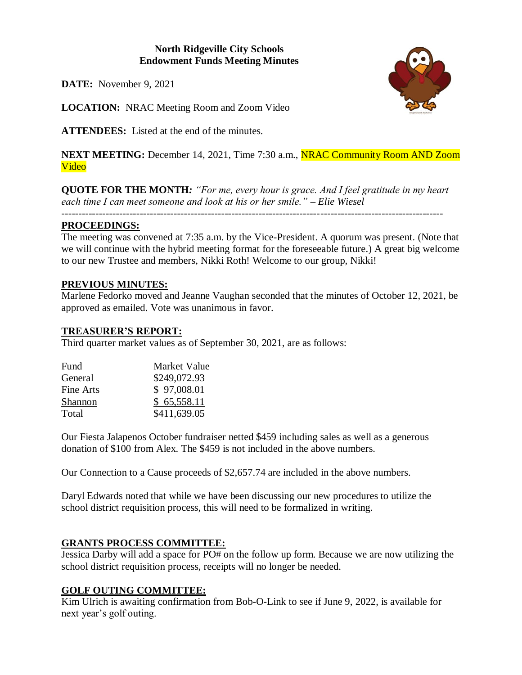# **North Ridgeville City Schools Endowment Funds Meeting Minutes**

**DATE:** November 9, 2021

**LOCATION:** NRAC Meeting Room and Zoom Video

**ATTENDEES:** Listed at the end of the minutes.

**NEXT MEETING:** December 14, 2021, Time 7:30 a.m., **NRAC Community Room AND Zoom** Video

**QUOTE FOR THE MONTH***: "For me, every hour is grace. And I feel gratitude in my heart each time I can meet someone and look at his or her smile." – Elie Wiesel*

*----------------------------------------------------------------------------------------------------------------*

## **PROCEEDINGS:**

The meeting was convened at 7:35 a.m. by the Vice-President. A quorum was present. (Note that we will continue with the hybrid meeting format for the foreseeable future.) A great big welcome to our new Trustee and members, Nikki Roth! Welcome to our group, Nikki!

## **PREVIOUS MINUTES:**

Marlene Fedorko moved and Jeanne Vaughan seconded that the minutes of October 12, 2021, be approved as emailed. Vote was unanimous in favor.

## **TREASURER'S REPORT:**

Third quarter market values as of September 30, 2021, are as follows:

| Fund      | Market Value |
|-----------|--------------|
| General   | \$249,072.93 |
| Fine Arts | \$97,008.01  |
| Shannon   | \$65,558.11  |
| Total     | \$411,639.05 |

Our Fiesta Jalapenos October fundraiser netted \$459 including sales as well as a generous donation of \$100 from Alex. The \$459 is not included in the above numbers.

Our Connection to a Cause proceeds of \$2,657.74 are included in the above numbers.

Daryl Edwards noted that while we have been discussing our new procedures to utilize the school district requisition process, this will need to be formalized in writing.

# **GRANTS PROCESS COMMITTEE:**

Jessica Darby will add a space for PO# on the follow up form. Because we are now utilizing the school district requisition process, receipts will no longer be needed.

# **GOLF OUTING COMMITTEE:**

Kim Ulrich is awaiting confirmation from Bob-O-Link to see if June 9, 2022, is available for next year's golf outing.

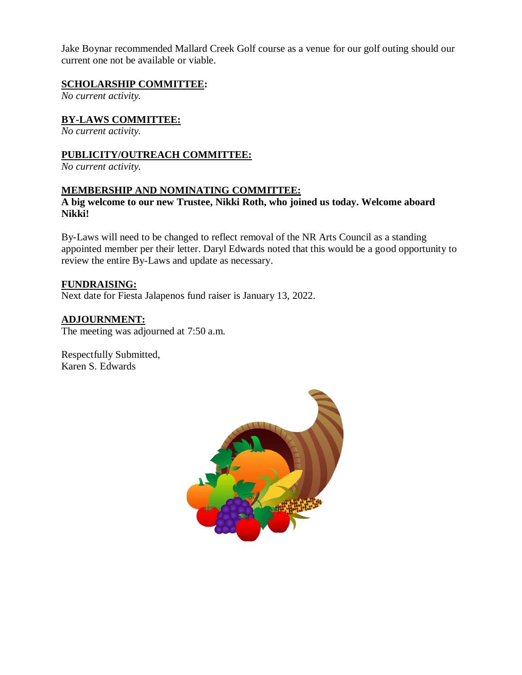Jake Boynar recommended Mallard Creek Golf course as a venue for our golf outing should our current one not be available or viable.

# **SCHOLARSHIP COMMITTEE:**

*No current activity.*

# **BY-LAWS COMMITTEE:**

*No current activity.*

# **PUBLICITY/OUTREACH COMMITTEE:**

*No current activity.*

#### **MEMBERSHIP AND NOMINATING COMMITTEE:**

# **A big welcome to our new Trustee, Nikki Roth, who joined us today. Welcome aboard Nikki!**

By-Laws will need to be changed to reflect removal of the NR Arts Council as a standing appointed member per their letter. Daryl Edwards noted that this would be a good opportunity to review the entire By-Laws and update as necessary.

## **FUNDRAISING:**

Next date for Fiesta Jalapenos fund raiser is January 13, 2022.

# **ADJOURNMENT:**

The meeting was adjourned at 7:50 a.m.

Respectfully Submitted, Karen S. Edwards